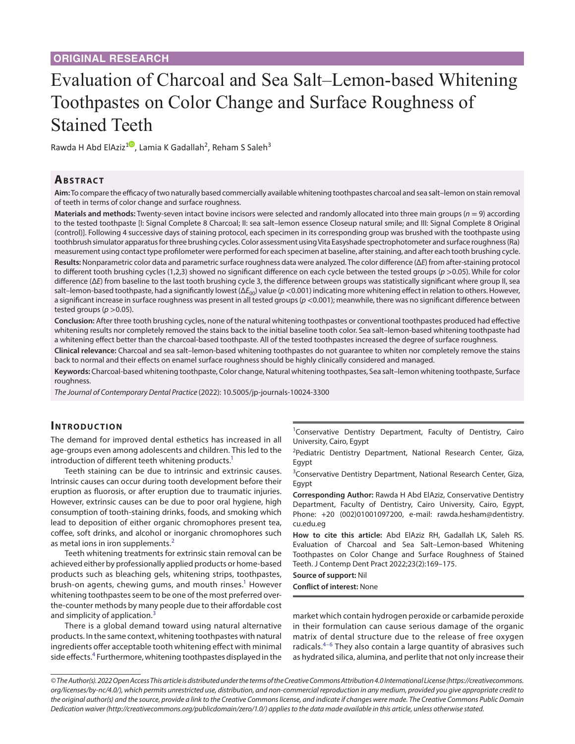# Evaluation of Charcoal and Sea Salt–Lemon-based Whitening Toothpastes on Color Change and Surface Roughness of Stained Teeth

Rawda H Abd ElAziz<sup>[1](https://orcid.org/0000-0002-6937-7397)0</sup>, Lamia K Gadallah<sup>2</sup>, Reham S Saleh<sup>3</sup>

# **Ab s t rac t**

**Aim:** To compare the efficacy of two naturally based commercially available whitening toothpastes charcoal and sea salt–lemon on stain removal of teeth in terms of color change and surface roughness.

**Materials and methods:** Twenty-seven intact bovine incisors were selected and randomly allocated into three main groups (*n* = 9) according to the tested toothpaste [I: Signal Complete 8 Charcoal; II: sea salt–lemon essence Closeup natural smile; and III: Signal Complete 8 Original (control)]. Following 4 successive days of staining protocol, each specimen in its corresponding group was brushed with the toothpaste using toothbrush simulator apparatus for three brushing cycles. Color assessment using Vita Easyshade spectrophotometer and surface roughness (Ra) measurement using contact type profilometer were performed for each specimen at baseline, after staining, and after each tooth brushing cycle.

**Results:** Nonparametric color data and parametric surface roughness data were analyzed. The color difference (Δ*E*) from after-staining protocol to different tooth brushing cycles (1,2,3) showed no significant difference on each cycle between the tested groups (*p* >0.05). While for color difference (Δ*E*) from baseline to the last tooth brushing cycle 3, the difference between groups was statistically significant where group II, sea salt–lemon-based toothpaste, had a significantly lowest (ΔE<sub>00</sub>) value (*p* <0.001) indicating more whitening effect in relation to others. However, a significant increase in surface roughness was present in all tested groups ( $p$  <0.001); meanwhile, there was no significant difference between tested groups ( $p > 0.05$ ).

**Conclusion:** After three tooth brushing cycles, none of the natural whitening toothpastes or conventional toothpastes produced had effective whitening results nor completely removed the stains back to the initial baseline tooth color. Sea salt–lemon-based whitening toothpaste had a whitening effect better than the charcoal-based toothpaste. All of the tested toothpastes increased the degree of surface roughness.

**Clinical relevance:** Charcoal and sea salt–lemon-based whitening toothpastes do not guarantee to whiten nor completely remove the stains back to normal and their effects on enamel surface roughness should be highly clinically considered and managed.

**Keywords:** Charcoal-based whitening toothpaste, Color change, Natural whitening toothpastes, Sea salt–lemon whitening toothpaste, Surface roughness.

*The Journal of Contemporary Dental Practice* (2022): 10.5005/jp-journals-10024-3300

## **INTRODUCTION**

The demand for improved dental esthetics has increased in all age-groups even among adolescents and children. This led to the introduction of different teeth whitening products.<sup>1</sup>

Teeth staining can be due to intrinsic and extrinsic causes. Intrinsic causes can occur during tooth development before their eruption as fluorosis, or after eruption due to traumatic injuries. However, extrinsic causes can be due to poor oral hygiene, high consumption of tooth-staining drinks, foods, and smoking which lead to deposition of either organic chromophores present tea, coffee, soft drinks, and alcohol or inorganic chromophores such as metal ions in iron supplements.<sup>[2](#page-5-1)</sup>

Teeth whitening treatments for extrinsic stain removal can be achieved either by professionally applied products or home-based products such as bleaching gels, whitening strips, toothpastes, brush-on agents, chewing gums, and mouth rinses.<sup>1</sup> However whitening toothpastes seem to be one of the most preferred overthe-counter methods by many people due to their affordable cost and simplicity of application.<sup>[3](#page-5-2)</sup>

There is a global demand toward using natural alternative products. In the same context, whitening toothpastes with natural ingredients offer acceptable tooth whitening effect with minimal side effects.<sup>[4](#page-5-3)</sup> Furthermore, whitening toothpastes displayed in the <sup>1</sup>Conservative Dentistry Department, Faculty of Dentistry, Cairo University, Cairo, Egypt

<sup>2</sup>Pediatric Dentistry Department, National Research Center, Giza, Egypt

<sup>3</sup> Conservative Dentistry Department, National Research Center, Giza, Egypt

**Corresponding Author:** Rawda H Abd ElAziz, Conservative Dentistry Department, Faculty of Dentistry, Cairo University, Cairo, Egypt, Phone: +20 (002)01001097200, e-mail: rawda.hesham@dentistry. cu.edu.eg

**How to cite this article:** Abd ElAziz RH, Gadallah LK, Saleh RS. Evaluation of Charcoal and Sea Salt–Lemon-based Whitening Toothpastes on Color Change and Surface Roughness of Stained Teeth. J Contemp Dent Pract 2022;23(2):169–175.

**Source of support:** Nil

**Conflict of interest:** None

market which contain hydrogen peroxide or carbamide peroxide in their formulation can cause serious damage of the organic matrix of dental structure due to the release of free oxygen radicals.<sup>[4–](#page-5-3)[6](#page-5-4)</sup> They also contain a large quantity of abrasives such as hydrated silica, alumina, and perlite that not only increase their

*<sup>©</sup> The Author(s). 2022 Open Access This article is distributed under the terms of the Creative Commons Attribution 4.0 International License ([https://creativecommons.](https://creativecommons.org/licenses/by-nc/4.0/) [org/licenses/by-nc/4.0/](https://creativecommons.org/licenses/by-nc/4.0/)), which permits unrestricted use, distribution, and non-commercial reproduction in any medium, provided you give appropriate credit to the original author(s) and the source, provide a link to the Creative Commons license, and indicate if changes were made. The Creative Commons Public Domain Dedication waiver ([http://creativecommons.org/publicdomain/zero/1.0/\)](http://creativecommons.org/publicdomain/zero/1.0/) applies to the data made available in this article, unless otherwise stated.*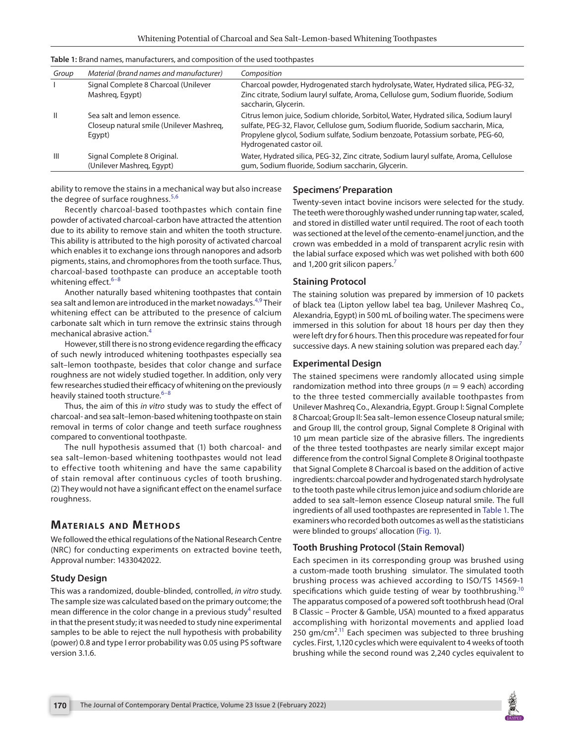| Group         | Material (brand names and manufacturer)                                           | Composition                                                                                                                                                                                                                                                                           |
|---------------|-----------------------------------------------------------------------------------|---------------------------------------------------------------------------------------------------------------------------------------------------------------------------------------------------------------------------------------------------------------------------------------|
|               | Signal Complete 8 Charcoal (Unilever<br>Mashreg, Egypt)                           | Charcoal powder, Hydrogenated starch hydrolysate, Water, Hydrated silica, PEG-32,<br>Zinc citrate, Sodium lauryl sulfate, Aroma, Cellulose gum, Sodium fluoride, Sodium<br>saccharin, Glycerin.                                                                                       |
| $\mathbf{II}$ | Sea salt and lemon essence.<br>Closeup natural smile (Unilever Mashreg,<br>Egypt) | Citrus lemon juice, Sodium chloride, Sorbitol, Water, Hydrated silica, Sodium lauryl<br>sulfate, PEG-32, Flavor, Cellulose gum, Sodium fluoride, Sodium saccharin, Mica,<br>Propylene glycol, Sodium sulfate, Sodium benzoate, Potassium sorbate, PEG-60,<br>Hydrogenated castor oil. |
| Ш             | Signal Complete 8 Original.<br>(Unilever Mashreg, Egypt)                          | Water, Hydrated silica, PEG-32, Zinc citrate, Sodium lauryl sulfate, Aroma, Cellulose<br>gum, Sodium fluoride, Sodium saccharin, Glycerin.                                                                                                                                            |

<span id="page-1-0"></span>**Table 1:** Brand names, manufacturers, and composition of the used toothpastes

ability to remove the stains in a mechanical way but also increase the degree of surface roughness.<sup>[5](#page-5-5),[6](#page-5-4)</sup>

Recently charcoal-based toothpastes which contain fine powder of activated charcoal-carbon have attracted the attention due to its ability to remove stain and whiten the tooth structure. This ability is attributed to the high porosity of activated charcoal which enables it to exchange ions through nanopores and adsorb pigments, stains, and chromophores from the tooth surface. Thus, charcoal-based toothpaste can produce an acceptable tooth whitening effect. $6-8$  $6-8$ 

Another naturally based whitening toothpastes that contain sea salt and lemon are introduced in the market nowadays.<sup>[4,](#page-5-3)9</sup> Their whitening effect can be attributed to the presence of calcium carbonate salt which in turn remove the extrinsic stains through mechanical abrasive action.[4](#page-5-3)

However, still there is no strong evidence regarding the efficacy of such newly introduced whitening toothpastes especially sea salt–lemon toothpaste, besides that color change and surface roughness are not widely studied together. In addition, only very few researches studied their efficacy of whitening on the previously heavily stained tooth structure.<sup>[6](#page-5-4)-[8](#page-5-6)</sup>

Thus, the aim of this *in vitro* study was to study the effect of charcoal- and sea salt–lemon-based whitening toothpaste on stain removal in terms of color change and teeth surface roughness compared to conventional toothpaste.

The null hypothesis assumed that (1) both charcoal- and sea salt–lemon-based whitening toothpastes would not lead to effective tooth whitening and have the same capability of stain removal after continuous cycles of tooth brushing. (2) They would not have a significant effect on the enamel surface roughness.

# **MATERIALS AND METHODS**

We followed the ethical regulations of the National Research Centre (NRC) for conducting experiments on extracted bovine teeth, Approval number: 1433042022.

## **Study Design**

This was a randomized, double-blinded, controlled, *in vitro* study. The sample size was calculated based on the primary outcome; the mean difference in the color change in a previous study<sup>[4](#page-5-3)</sup> resulted in that the present study; it was needed to study nine experimental samples to be able to reject the null hypothesis with probability (power) 0.8 and type I error probability was 0.05 using PS software version 3.1.6.

#### **Specimens' Preparation**

Twenty-seven intact bovine incisors were selected for the study. The teeth were thoroughly washed under running tap water, scaled, and stored in distilled water until required. The root of each tooth was sectioned at the level of the cemento-enamel junction, and the crown was embedded in a mold of transparent acrylic resin with the labial surface exposed which was wet polished with both 600 and 1,200 grit silicon papers.<sup>7</sup>

#### **Staining Protocol**

The staining solution was prepared by immersion of 10 packets of black tea (Lipton yellow label tea bag, Unilever Mashreq Co., Alexandria, Egypt) in 500 mL of boiling water. The specimens were immersed in this solution for about 18 hours per day then they were left dry for 6 hours. Then this procedure was repeated for four successive days. A new staining solution was prepared each day.<sup>[7](#page-5-7)</sup>

#### **Experimental Design**

The stained specimens were randomly allocated using simple randomization method into three groups ( $n = 9$  each) according to the three tested commercially available toothpastes from Unilever Mashreq Co., Alexandria, Egypt. Group I: Signal Complete 8 Charcoal; Group II: Sea salt–lemon essence Closeup natural smile; and Group III, the control group, Signal Complete 8 Original with 10 μm mean particle size of the abrasive fillers. The ingredients of the three tested toothpastes are nearly similar except major difference from the control Signal Complete 8 Original toothpaste that Signal Complete 8 Charcoal is based on the addition of active ingredients: charcoal powder and hydrogenated starch hydrolysate to the tooth paste while citrus lemon juice and sodium chloride are added to sea salt–lemon essence Closeup natural smile. The full ingredients of all used toothpastes are represented in [Table 1](#page-1-0). The examiners who recorded both outcomes as well as the statisticians were blinded to groups' allocation (Fig. 1).

## **Tooth Brushing Protocol (Stain Removal)**

Each specimen in its corresponding group was brushed using a custom-made tooth brushing simulator. The simulated tooth brushing process was achieved according to ISO/TS 14569-1 specifications which guide testing of wear by toothbrushing.<sup>10</sup> The apparatus composed of a powered soft toothbrush head (Oral B Classic – Procter & Gamble, USA) mounted to a fixed apparatus accomplishing with horizontal movements and applied load 250  $gm/cm<sup>2,11</sup>$  Each specimen was subjected to three brushing cycles. First, 1,120 cycles which were equivalent to 4 weeks of tooth brushing while the second round was 2,240 cycles equivalent to

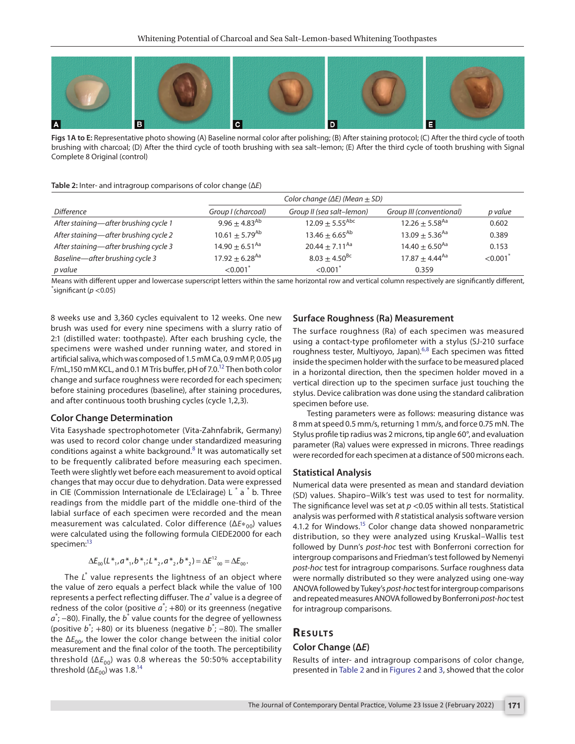

**Figs 1A to E:** Representative photo showing (A) Baseline normal color after polishing; (B) After staining protocol; (C) After the third cycle of tooth brushing with charcoal; (D) After the third cycle of tooth brushing with sea salt–lemon; (E) After the third cycle of tooth brushing with Signal Complete 8 Original (control)

#### <span id="page-2-0"></span>**Table 2:** Inter- and intragroup comparisons of color change (Δ*E*)

|                                       | Color change ( $\Delta E$ ) (Mean $\pm$ SD) |                               |                              |         |
|---------------------------------------|---------------------------------------------|-------------------------------|------------------------------|---------|
| <i>Difference</i>                     | Group I (charcoal)                          | Group II (sea salt-lemon)     | Group III (conventional)     | p value |
| After staining-after brushing cycle 1 | $9.96 \pm 4.83^{Ab}$                        | $12.09 + 5.55$ <sup>Abc</sup> | $12.26 + 5.58$ <sup>Aa</sup> | 0.602   |
| After staining-after brushing cycle 2 | $10.61 \pm 5.79$ <sup>Ab</sup>              | $13.46 + 6.65^{Ab}$           | $13.09 + 5.36$ <sup>Aa</sup> | 0.389   |
| After staining-after brushing cycle 3 | $14.90 + 6.51^{Aa}$                         | $20.44 + 7.11^{Aa}$           | $14.40 + 6.50$ <sup>Aa</sup> | 0.153   |
| Baseline-after brushing cycle 3       | $17.92 \pm 6.28$ <sup>Aa</sup>              | $8.03 \pm 4.50^{BC}$          | $17.87 + 4.44^{Aa}$          | < 0.001 |
| p value                               | $< 0.001$ <sup>*</sup>                      | < 0.001                       | 0.359                        |         |

Means with different upper and lowercase superscript letters within the same horizontal row and vertical column respectively are significantly different, \* significant (*p* <0.05)

8 weeks use and 3,360 cycles equivalent to 12 weeks. One new brush was used for every nine specimens with a slurry ratio of 2:1 (distilled water: toothpaste). After each brushing cycle, the specimens were washed under running water, and stored in artificial saliva, which was composed of 1.5 mM Ca, 0.9 mM P, 0.05 µg F/mL,150 mM KCL, and 0.1 M Tris buffer, pH of 7.0.<sup>12</sup> Then both color change and surface roughness were recorded for each specimen; before staining procedures (baseline), after staining procedures, and after continuous tooth brushing cycles (cycle 1,2,3).

#### **Color Change Determination**

Vita Easyshade spectrophotometer (Vita-Zahnfabrik, Germany) was used to record color change under standardized measuring conditions against a white background.<sup>[8](#page-5-6)</sup> It was automatically set to be frequently calibrated before measuring each specimen. Teeth were slightly wet before each measurement to avoid optical changes that may occur due to dehydration. Data were expressed in CIE (Commission Internationale de L'Eclairage) L<sup>\*</sup> a<sup>\*</sup> b. Three readings from the middle part of the middle one-third of the labial surface of each specimen were recorded and the mean measurement was calculated. Color difference (ΔE<sup>\*</sup><sub>00</sub>) values were calculated using the following formula CIEDE2000 for each specimen:<sup>13</sup>

$$
\Delta E_{00}(L^*_{1}, a^*_{1}, b^*_{1}; L^*_{2}, a^*_{2}, b^*_{2}) = \Delta E^{12}_{00} = \Delta E_{00}.
$$

The L<sup>\*</sup> value represents the lightness of an object where the value of zero equals a perfect black while the value of 100 represents a perfect reflecting diffuser. The  $a^*$  value is a degree of redness of the color (positive  $a^*$ ;  $+80$ ) or its greenness (negative  $a^*$ ; –80). Finally, the  $b^*$  value counts for the degree of yellowness (positive *b*\* ; +80) or its blueness (negative *b*\* ; −80). The smaller the  $\Delta E_{00}$ , the lower the color change between the initial color measurement and the final color of the tooth. The perceptibility threshold (Δ*E*<sub>00</sub>) was 0.8 whereas the 50:50% acceptability threshold ( $\Delta E_{00}$ ) was 1.8.<sup>14</sup>

#### **Surface Roughness (Ra) Measurement**

The surface roughness (Ra) of each specimen was measured using a contact-type profilometer with a stylus (SJ-210 surface roughness tester, Multiyoyo, Japan).<sup>[6](#page-5-4),[8](#page-5-6)</sup> Each specimen was fitted inside the specimen holder with the surface to be measured placed in a horizontal direction, then the specimen holder moved in a vertical direction up to the specimen surface just touching the stylus. Device calibration was done using the standard calibration specimen before use.

Testing parameters were as follows: measuring distance was 8 mm at speed 0.5 mm/s, returning 1 mm/s, and force 0.75 mN. The Stylus profile tip radius was 2 microns, tip angle 60°, and evaluation parameter (Ra) values were expressed in microns. Three readings were recorded for each specimen at a distance of 500 microns each.

#### **Statistical Analysis**

Numerical data were presented as mean and standard deviation (SD) values. Shapiro–Wilk's test was used to test for normality. The significance level was set at *p* <0.05 within all tests. Statistical analysis was performed with *R* statistical analysis software version 4.1.2 for Windows.<sup>15</sup> Color change data showed nonparametric distribution, so they were analyzed using Kruskal–Wallis test followed by Dunn's *post-hoc* test with Bonferroni correction for intergroup comparisons and Friedman's test followed by Nemenyi *post-hoc* test for intragroup comparisons. Surface roughness data were normally distributed so they were analyzed using one-way ANOVA followed by Tukey's *post-hoc* test for intergroup comparisons and repeated measures ANOVA followed by Bonferroni *post-hoc* test for intragroup comparisons.

## **Re s u lts**

#### **Color Change (Δ***E***)**

Results of inter- and intragroup comparisons of color change, presented in [Table 2](#page-2-0) and in [Figures 2](#page-3-0) and [3,](#page-4-0) showed that the color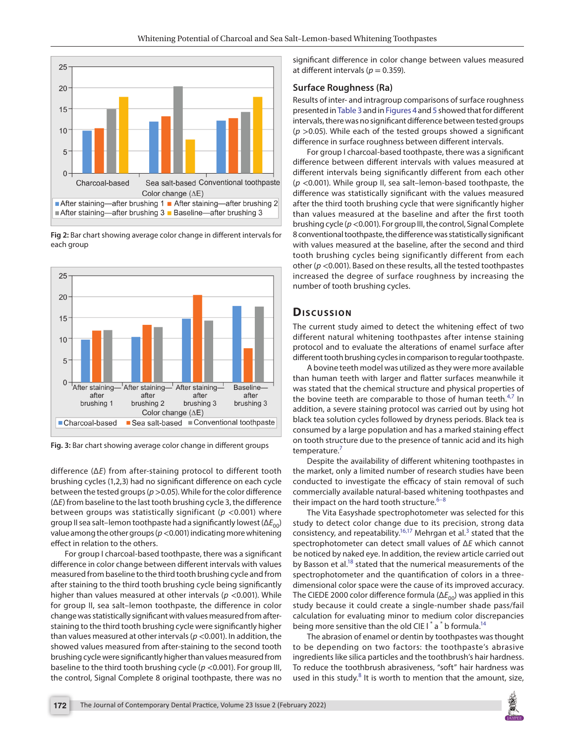

**Fig 2:** Bar chart showing average color change in different intervals for each group



<span id="page-3-0"></span>**Fig. 3:** Bar chart showing average color change in different groups

difference (Δ*E*) from after-staining protocol to different tooth brushing cycles (1,2,3) had no significant difference on each cycle between the tested groups (*p*>0.05). While for the color difference (Δ*E*) from baseline to the last tooth brushing cycle 3, the difference between groups was statistically significant (*p* <0.001) where group II sea salt–lemon toothpaste had a significantly lowest (Δ $E_{00}$ ) value among the other groups (*p*<0.001) indicating more whitening effect in relation to the others.

For group I charcoal-based toothpaste, there was a significant difference in color change between different intervals with values measured from baseline to the third tooth brushing cycle and from after staining to the third tooth brushing cycle being significantly higher than values measured at other intervals (*p* <0.001). While for group II, sea salt–lemon toothpaste, the difference in color change was statistically significant with values measured from afterstaining to the third tooth brushing cycle were significantly higher than values measured at other intervals (*p* <0.001). In addition, the showed values measured from after-staining to the second tooth brushing cycle were significantly higher than values measured from baseline to the third tooth brushing cycle (*p* <0.001). For group III, the control, Signal Complete 8 original toothpaste, there was no

significant difference in color change between values measured at different intervals ( $p = 0.359$ ).

#### **Surface Roughness (Ra)**

Results of inter- and intragroup comparisons of surface roughness presented in [Table 3](#page-4-1) and in [Figures 4](#page-4-2) and 5 showed that for different intervals, there was no significant difference between tested groups  $(p > 0.05)$ . While each of the tested groups showed a significant difference in surface roughness between different intervals.

For group I charcoal-based toothpaste, there was a significant difference between different intervals with values measured at different intervals being significantly different from each other (*p* <0.001). While group II, sea salt–lemon-based toothpaste, the difference was statistically significant with the values measured after the third tooth brushing cycle that were significantly higher than values measured at the baseline and after the first tooth brushing cycle (*p*<0.001). For group III, the control, Signal Complete 8 conventional toothpaste, the difference was statistically significant with values measured at the baseline, after the second and third tooth brushing cycles being significantly different from each other (*p* <0.001). Based on these results, all the tested toothpastes increased the degree of surface roughness by increasing the number of tooth brushing cycles.

## **Discussion**

The current study aimed to detect the whitening effect of two different natural whitening toothpastes after intense staining protocol and to evaluate the alterations of enamel surface after different tooth brushing cycles in comparison to regular toothpaste.

A bovine teeth model was utilized as they were more available than human teeth with larger and flatter surfaces meanwhile it was stated that the chemical structure and physical properties of the bovine teeth are comparable to those of human teeth. $4,7$  $4,7$  $4,7$  In addition, a severe staining protocol was carried out by using hot black tea solution cycles followed by dryness periods. Black tea is consumed by a large population and has a marked staining effect on tooth structure due to the presence of tannic acid and its high temperature.<sup>7</sup>

Despite the availability of different whitening toothpastes in the market, only a limited number of research studies have been conducted to investigate the efficacy of stain removal of such commercially available natural-based whitening toothpastes and their impact on the hard tooth structure. $6-8$  $6-8$  $6-8$ 

The Vita Easyshade spectrophotometer was selected for this study to detect color change due to its precision, strong data consistency, and repeatability.<sup>16[,17](#page-6-6)</sup> Mehrgan et al.<sup>[3](#page-5-2)</sup> stated that the spectrophotometer can detect small values of Δ*E* which cannot be noticed by naked eye. In addition, the review article carried out by Basson et al.<sup>18</sup> stated that the numerical measurements of the spectrophotometer and the quantification of colors in a threedimensional color space were the cause of its improved accuracy. The CIEDE 2000 color difference formula (ΔE<sub>00</sub>) was applied in this study because it could create a single-number shade pass/fail calculation for evaluating minor to medium color discrepancies being more sensitive than the old CIE I  $^*$  a  $^*$  b formula.<sup>14</sup>

The abrasion of enamel or dentin by toothpastes was thought to be depending on two factors: the toothpaste's abrasive ingredients like silica particles and the toothbrush's hair hardness. To reduce the toothbrush abrasiveness, "soft" hair hardness was used in this study. $8$  It is worth to mention that the amount, size,

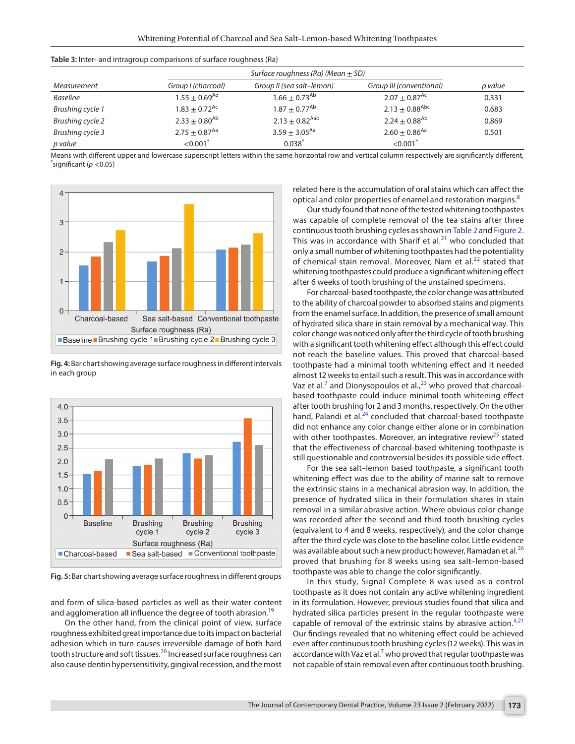<span id="page-4-1"></span>

| <b>Table 3:</b> Inter- and intragroup comparisons of surface roughness (Ra) |  |  |
|-----------------------------------------------------------------------------|--|--|
|                                                                             |  |  |

|                  | Surface roughness (Ra) (Mean $\pm$ SD) |                                |                                |         |
|------------------|----------------------------------------|--------------------------------|--------------------------------|---------|
| Measurement      | Group I (charcoal)                     | Group II (sea salt-lemon)      | Group III (conventional)       | p value |
| Baseline         | $1.55 \pm 0.69$ <sup>Ad</sup>          | $1.66 \pm 0.73$ <sup>Ab</sup>  | $2.07 + 0.87$ <sup>Ac</sup>    | 0.331   |
| Brushing cycle 1 | $1.83 + 0.72$ <sup>Ac</sup>            | $1.87 \pm 0.77$ <sup>Ab</sup>  | $2.13 \pm 0.88$ <sup>Abc</sup> | 0.683   |
| Brushing cycle 2 | $2.33 \pm 0.80$ <sup>Ab</sup>          | $2.13 \pm 0.82$ <sup>Aab</sup> | $2.24 + 0.88^{Ab}$             | 0.869   |
| Brushing cycle 3 | $2.75 \pm 0.87$ <sup>Aa</sup>          | $3.59 \pm 3.05^{Aa}$           | $2.60 + 0.86$ <sup>Aa</sup>    | 0.501   |
| p value          | $<$ 0.001 $^{\degree}$                 | $0.038*$                       | < 0.001                        |         |

Means with different upper and lowercase superscript letters within the same horizontal row and vertical column respectively are significantly different, \* significant (*p* <0.05)



<span id="page-4-0"></span>**Fig. 4:** Bar chart showing average surface roughness in different intervals in each group



<span id="page-4-2"></span>**Fig. 5:** Bar chart showing average surface roughness in different groups

and form of silica-based particles as well as their water content and agglomeration all influence the degree of tooth abrasion.<sup>19</sup>

On the other hand, from the clinical point of view, surface roughness exhibited great importance due to its impact on bacterial adhesion which in turn causes irreversible damage of both hard tooth structure and soft tissues.<sup>20</sup> Increased surface roughness can also cause dentin hypersensitivity, gingival recession, and the most

related here is the accumulation of oral stains which can affect the optical and color properties of enamel and restoration margins.<sup>[8](#page-5-6)</sup>

Our study found that none of the tested whitening toothpastes was capable of complete removal of the tea stains after three continuous tooth brushing cycles as shown in [Table 2](#page-2-0) and [Figure 2](#page-3-0). This was in accordance with Sharif et  $al.^{21}$  $al.^{21}$  $al.^{21}$  who concluded that only a small number of whitening toothpastes had the potentiality of chemical stain removal. Moreover, Nam et al.<sup>[22](#page-6-11)</sup> stated that whitening toothpastes could produce a significant whitening effect after 6 weeks of tooth brushing of the unstained specimens.

For charcoal-based toothpaste, the color change was attributed to the ability of charcoal powder to absorbed stains and pigments from the enamel surface. In addition, the presence of small amount of hydrated silica share in stain removal by a mechanical way. This color change was noticed only after the third cycle of tooth brushing with a significant tooth whitening effect although this effect could not reach the baseline values. This proved that charcoal-based toothpaste had a minimal tooth whitening effect and it needed almost 12 weeks to entail such a result. This was in accordance with Vaz et al.<sup>[7](#page-5-7)</sup> and Dionysopoulos et al.,<sup>23</sup> who proved that charcoalbased toothpaste could induce minimal tooth whitening effect after tooth brushing for 2 and 3 months, respectively. On the other hand, Palandi et al.<sup>[24](#page-6-13)</sup> concluded that charcoal-based toothpaste did not enhance any color change either alone or in combination with other toothpastes. Moreover, an integrative review<sup>25</sup> stated that the effectiveness of charcoal-based whitening toothpaste is still questionable and controversial besides its possible side effect.

For the sea salt–lemon based toothpaste, a significant tooth whitening effect was due to the ability of marine salt to remove the extrinsic stains in a mechanical abrasion way. In addition, the presence of hydrated silica in their formulation shares in stain removal in a similar abrasive action. Where obvious color change was recorded after the second and third tooth brushing cycles (equivalent to 4 and 8 weeks, respectively), and the color change after the third cycle was close to the baseline color. Little evidence was available about such a new product; however, Ramadan et al.<sup>[26](#page-6-15)</sup> proved that brushing for 8 weeks using sea salt–lemon-based toothpaste was able to change the color significantly.

In this study, Signal Complete 8 was used as a control toothpaste as it does not contain any active whitening ingredient in its formulation. However, previous studies found that silica and hydrated silica particles present in the regular toothpaste were capable of removal of the extrinsic stains by abrasive action. $4,21$  $4,21$  $4,21$ Our findings revealed that no whitening effect could be achieved even after continuous tooth brushing cycles (12 weeks). This was in accordance with Vaz et al.<sup>[7](#page-5-7)</sup> who proved that regular toothpaste was not capable of stain removal even after continuous tooth brushing.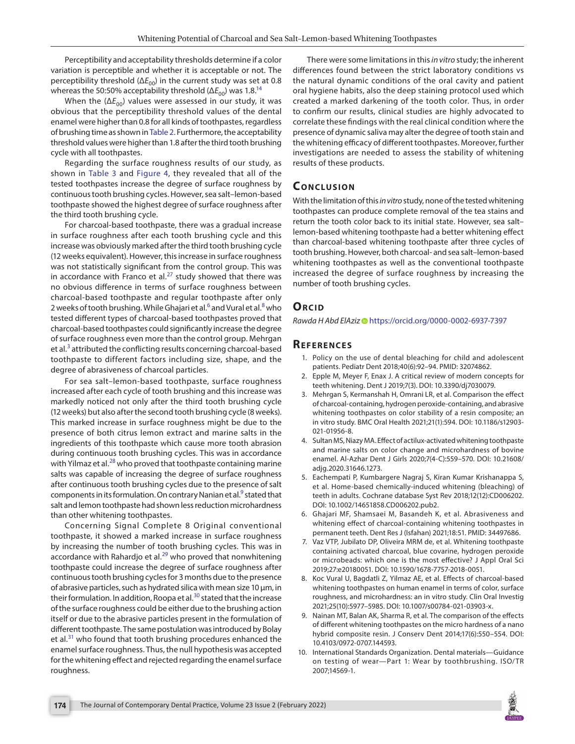Perceptibility and acceptability thresholds determine if a color variation is perceptible and whether it is acceptable or not. The perceptibility threshold ( $\Delta E_{00}$ ) in the current study was set at 0.8 whereas the 50:50% acceptability threshold ( $\Delta E_{00}$ ) was 1.8.<sup>14</sup>

When the  $(\Delta E_{00})$  values were assessed in our study, it was obvious that the perceptibility threshold values of the dental enamel were higher than 0.8 for all kinds of toothpastes, regardless of brushing time as shown in [Table 2](#page-2-0). Furthermore, the acceptability threshold values were higher than 1.8 after the third tooth brushing cycle with all toothpastes.

Regarding the surface roughness results of our study, as shown in [Table 3](#page-4-1) and [Figure 4](#page-4-2), they revealed that all of the tested toothpastes increase the degree of surface roughness by continuous tooth brushing cycles. However, sea salt–lemon-based toothpaste showed the highest degree of surface roughness after the third tooth brushing cycle.

For charcoal-based toothpaste, there was a gradual increase in surface roughness after each tooth brushing cycle and this increase was obviously marked after the third tooth brushing cycle (12 weeks equivalent). However, this increase in surface roughness was not statistically significant from the control group. This was in accordance with Franco et al. $^{27}$  $^{27}$  $^{27}$  study showed that there was no obvious difference in terms of surface roughness between charcoal-based toothpaste and regular toothpaste after only 2 weeks of tooth brushing. While Ghajari et al. $^6$  $^6$  and Vural et al. $^8$  $^8$  who tested different types of charcoal-based toothpastes proved that charcoal-based toothpastes could significantly increase the degree of surface roughness even more than the control group. Mehrgan et al.<sup>[3](#page-5-2)</sup> attributed the conflicting results concerning charcoal-based toothpaste to different factors including size, shape, and the degree of abrasiveness of charcoal particles.

For sea salt–lemon-based toothpaste, surface roughness increased after each cycle of tooth brushing and this increase was markedly noticed not only after the third tooth brushing cycle (12 weeks) but also after the second tooth brushing cycle (8 weeks). This marked increase in surface roughness might be due to the presence of both citrus lemon extract and marine salts in the ingredients of this toothpaste which cause more tooth abrasion during continuous tooth brushing cycles. This was in accordance with Yilmaz et al. $^{28}$  $^{28}$  $^{28}$  who proved that toothpaste containing marine salts was capable of increasing the degree of surface roughness after continuous tooth brushing cycles due to the presence of salt components in its formulation. On contrary Nanian et al.<sup>9</sup> stated that salt and lemon toothpaste had shown less reduction microhardness than other whitening toothpastes.

Concerning Signal Complete 8 Original conventional toothpaste, it showed a marked increase in surface roughness by increasing the number of tooth brushing cycles. This was in accordance with Rahardjo et al. $^{29}$  $^{29}$  $^{29}$  who proved that nonwhitening toothpaste could increase the degree of surface roughness after continuous tooth brushing cycles for 3 months due to the presence of abrasive particles, such as hydrated silica with mean size 10 µm, in their formulation. In addition, Roopa et al.<sup>30</sup> stated that the increase of the surface roughness could be either due to the brushing action itself or due to the abrasive particles present in the formulation of different toothpaste. The same postulation was introduced by Bolay et al.<sup>31</sup> who found that tooth brushing procedures enhanced the enamel surface roughness. Thus, the null hypothesis was accepted for the whitening effect and rejected regarding the enamel surface roughness.

There were some limitations in this *in vitro* study; the inherent differences found between the strict laboratory conditions vs the natural dynamic conditions of the oral cavity and patient oral hygiene habits, also the deep staining protocol used which created a marked darkening of the tooth color. Thus, in order to confirm our results, clinical studies are highly advocated to correlate these findings with the real clinical condition where the presence of dynamic saliva may alter the degree of tooth stain and the whitening efficacy of different toothpastes. Moreover, further investigations are needed to assess the stability of whitening results of these products.

# **CONCLUSION**

With the limitation of this *in vitro* study, none of the tested whitening toothpastes can produce complete removal of the tea stains and return the tooth color back to its initial state. However, sea salt– lemon-based whitening toothpaste had a better whitening effect than charcoal-based whitening toothpaste after three cycles of tooth brushing. However, both charcoal- and sea salt–lemon-based whitening toothpastes as well as the conventional toothpaste increased the degree of surface roughness by increasing the number of tooth brushing cycles.

## **ORCID**

*Rawda H Abd ElAziz* [h](https://orcid.org/0000-0002-6937-7397)ttps://orcid.org/0000-0002-6937-7397

## **Re f e r e n c e s**

- <span id="page-5-0"></span>1. Policy on the use of dental bleaching for child and adolescent patients. Pediatr Dent 2018;40(6):92–94. PMID: 32074862.
- <span id="page-5-1"></span>2. Epple M, Meyer F, Enax J. A critical review of modern concepts for teeth whitening. Dent J 2019;7(3). DOI: 10.3390/dj7030079.
- <span id="page-5-2"></span>3. Mehrgan S, Kermanshah H, Omrani LR, et al. Comparison the effect of charcoal-containing, hydrogen peroxide-containing, and abrasive whitening toothpastes on color stability of a resin composite; an in vitro study. BMC Oral Health 2021;21(1):594. DOI: 10.1186/s12903- 021-01956-8.
- <span id="page-5-3"></span>4. Sultan MS, Niazy MA. Effect of actilux-activated whitening toothpaste and marine salts on color change and microhardness of bovine enamel. Al-Azhar Dent J Girls 2020;7(4-C):559–570. DOI: 10.21608/ adjg.2020.31646.1273.
- <span id="page-5-5"></span>5. Eachempati P, Kumbargere Nagraj S, Kiran Kumar Krishanappa S, et al. Home-based chemically-induced whitening (bleaching) of teeth in adults. Cochrane database Syst Rev 2018;12(12):CD006202. DOI: 10.1002/14651858.CD006202.pub2.
- <span id="page-5-4"></span>6. Ghajari MF, Shamsaei M, Basandeh K, et al. Abrasiveness and whitening effect of charcoal-containing whitening toothpastes in permanent teeth. Dent Res J (Isfahan) 2021;18:51. PMID: 34497686.
- <span id="page-5-7"></span>7. Vaz VTP, Jubilato DP, Oliveira MRM de, et al. Whitening toothpaste containing activated charcoal, blue covarine, hydrogen peroxide or microbeads: which one is the most effective? J Appl Oral Sci 2019;27:e20180051. DOI: 10.1590/1678-7757-2018-0051.
- <span id="page-5-6"></span>8. Koc Vural U, Bagdatli Z, Yilmaz AE, et al. Effects of charcoal-based whitening toothpastes on human enamel in terms of color, surface roughness, and microhardness: an in vitro study. Clin Oral Investig 2021;25(10):5977–5985. DOI: 10.1007/s00784-021-03903-x.
- 9. Nainan MT, Balan AK, Sharma R, et al. The comparison of the effects of different whitening toothpastes on the micro hardness of a nano hybrid composite resin. J Conserv Dent 2014;17(6):550–554. DOI: 10.4103/0972-0707.144593.
- <span id="page-5-8"></span>10. International Standards Organization. Dental materials—Guidance on testing of wear—Part 1: Wear by toothbrushing. ISO/TR 2007;14569-1.